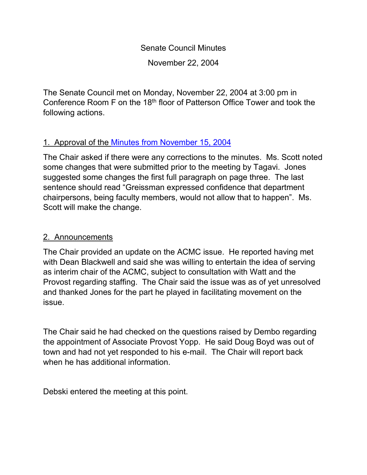Senate Council Minutes November 22, 2004

The Senate Council met on Monday, November 22, 2004 at 3:00 pm in Conference Room F on the 18th floor of Patterson Office Tower and took the following actions.

# 1. Approval of the Minutes from [November 15, 2004](http://www.uky.edu/USC/New/SCMinutes/SC%20Minutes%20Nov%2015-FINAL.htm)

The Chair asked if there were any corrections to the minutes. Ms. Scott noted some changes that were submitted prior to the meeting by Tagavi. Jones suggested some changes the first full paragraph on page three. The last sentence should read "Greissman expressed confidence that department chairpersons, being faculty members, would not allow that to happen". Ms. Scott will make the change.

### 2. Announcements

The Chair provided an update on the ACMC issue. He reported having met with Dean Blackwell and said she was willing to entertain the idea of serving as interim chair of the ACMC, subject to consultation with Watt and the Provost regarding staffing. The Chair said the issue was as of yet unresolved and thanked Jones for the part he played in facilitating movement on the issue.

The Chair said he had checked on the questions raised by Dembo regarding the appointment of Associate Provost Yopp. He said Doug Boyd was out of town and had not yet responded to his e-mail. The Chair will report back when he has additional information.

Debski entered the meeting at this point.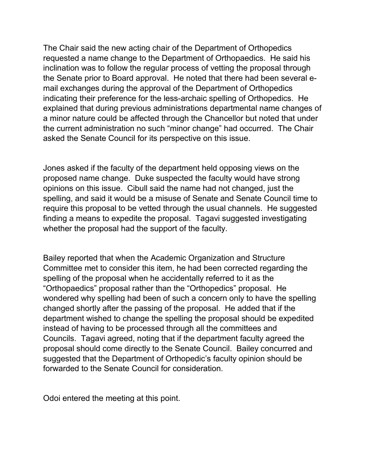The Chair said the new acting chair of the Department of Orthopedics requested a name change to the Department of Orthopaedics. He said his inclination was to follow the regular process of vetting the proposal through the Senate prior to Board approval. He noted that there had been several email exchanges during the approval of the Department of Orthopedics indicating their preference for the less-archaic spelling of Orthopedics. He explained that during previous administrations departmental name changes of a minor nature could be affected through the Chancellor but noted that under the current administration no such "minor change" had occurred. The Chair asked the Senate Council for its perspective on this issue.

Jones asked if the faculty of the department held opposing views on the proposed name change. Duke suspected the faculty would have strong opinions on this issue. Cibull said the name had not changed, just the spelling, and said it would be a misuse of Senate and Senate Council time to require this proposal to be vetted through the usual channels. He suggested finding a means to expedite the proposal. Tagavi suggested investigating whether the proposal had the support of the faculty.

Bailey reported that when the Academic Organization and Structure Committee met to consider this item, he had been corrected regarding the spelling of the proposal when he accidentally referred to it as the "Orthopaedics" proposal rather than the "Orthopedics" proposal. He wondered why spelling had been of such a concern only to have the spelling changed shortly after the passing of the proposal. He added that if the department wished to change the spelling the proposal should be expedited instead of having to be processed through all the committees and Councils. Tagavi agreed, noting that if the department faculty agreed the proposal should come directly to the Senate Council. Bailey concurred and suggested that the Department of Orthopedic's faculty opinion should be forwarded to the Senate Council for consideration.

Odoi entered the meeting at this point.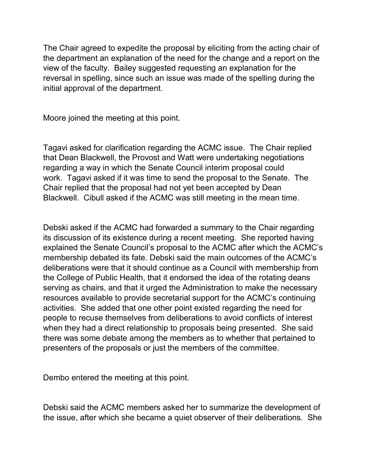The Chair agreed to expedite the proposal by eliciting from the acting chair of the department an explanation of the need for the change and a report on the view of the faculty. Bailey suggested requesting an explanation for the reversal in spelling, since such an issue was made of the spelling during the initial approval of the department.

Moore joined the meeting at this point.

Tagavi asked for clarification regarding the ACMC issue. The Chair replied that Dean Blackwell, the Provost and Watt were undertaking negotiations regarding a way in which the Senate Council interim proposal could work. Tagavi asked if it was time to send the proposal to the Senate. The Chair replied that the proposal had not yet been accepted by Dean Blackwell. Cibull asked if the ACMC was still meeting in the mean time.

Debski asked if the ACMC had forwarded a summary to the Chair regarding its discussion of its existence during a recent meeting. She reported having explained the Senate Council's proposal to the ACMC after which the ACMC's membership debated its fate. Debski said the main outcomes of the ACMC's deliberations were that it should continue as a Council with membership from the College of Public Health, that it endorsed the idea of the rotating deans serving as chairs, and that it urged the Administration to make the necessary resources available to provide secretarial support for the ACMC's continuing activities. She added that one other point existed regarding the need for people to recuse themselves from deliberations to avoid conflicts of interest when they had a direct relationship to proposals being presented. She said there was some debate among the members as to whether that pertained to presenters of the proposals or just the members of the committee.

Dembo entered the meeting at this point.

Debski said the ACMC members asked her to summarize the development of the issue, after which she became a quiet observer of their deliberations. She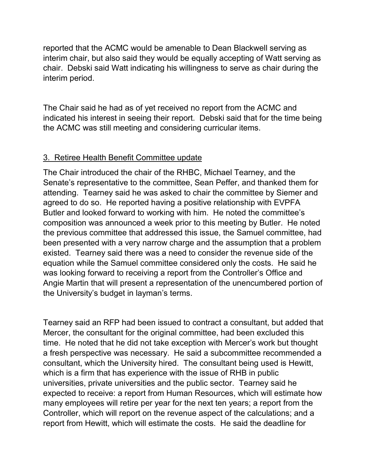reported that the ACMC would be amenable to Dean Blackwell serving as interim chair, but also said they would be equally accepting of Watt serving as chair. Debski said Watt indicating his willingness to serve as chair during the interim period.

The Chair said he had as of yet received no report from the ACMC and indicated his interest in seeing their report. Debski said that for the time being the ACMC was still meeting and considering curricular items.

### 3. Retiree Health Benefit Committee update

The Chair introduced the chair of the RHBC, Michael Tearney, and the Senate's representative to the committee, Sean Peffer, and thanked them for attending. Tearney said he was asked to chair the committee by Siemer and agreed to do so. He reported having a positive relationship with EVPFA Butler and looked forward to working with him. He noted the committee's composition was announced a week prior to this meeting by Butler. He noted the previous committee that addressed this issue, the Samuel committee, had been presented with a very narrow charge and the assumption that a problem existed. Tearney said there was a need to consider the revenue side of the equation while the Samuel committee considered only the costs. He said he was looking forward to receiving a report from the Controller's Office and Angie Martin that will present a representation of the unencumbered portion of the University's budget in layman's terms.

Tearney said an RFP had been issued to contract a consultant, but added that Mercer, the consultant for the original committee, had been excluded this time. He noted that he did not take exception with Mercer's work but thought a fresh perspective was necessary. He said a subcommittee recommended a consultant, which the University hired. The consultant being used is Hewitt, which is a firm that has experience with the issue of RHB in public universities, private universities and the public sector. Tearney said he expected to receive: a report from Human Resources, which will estimate how many employees will retire per year for the next ten years; a report from the Controller, which will report on the revenue aspect of the calculations; and a report from Hewitt, which will estimate the costs. He said the deadline for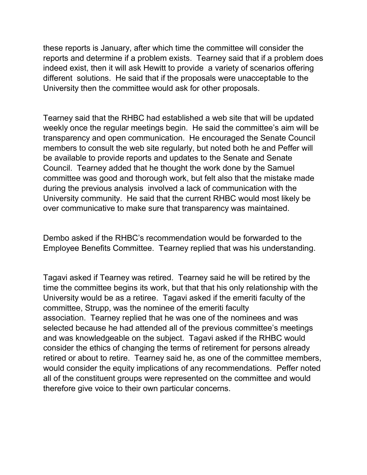these reports is January, after which time the committee will consider the reports and determine if a problem exists. Tearney said that if a problem does indeed exist, then it will ask Hewitt to provide a variety of scenarios offering different solutions. He said that if the proposals were unacceptable to the University then the committee would ask for other proposals.

Tearney said that the RHBC had established a web site that will be updated weekly once the regular meetings begin. He said the committee's aim will be transparency and open communication. He encouraged the Senate Council members to consult the web site regularly, but noted both he and Peffer will be available to provide reports and updates to the Senate and Senate Council. Tearney added that he thought the work done by the Samuel committee was good and thorough work, but felt also that the mistake made during the previous analysis involved a lack of communication with the University community. He said that the current RHBC would most likely be over communicative to make sure that transparency was maintained.

Dembo asked if the RHBC's recommendation would be forwarded to the Employee Benefits Committee. Tearney replied that was his understanding.

Tagavi asked if Tearney was retired. Tearney said he will be retired by the time the committee begins its work, but that that his only relationship with the University would be as a retiree. Tagavi asked if the emeriti faculty of the committee, Strupp, was the nominee of the emeriti faculty association. Tearney replied that he was one of the nominees and was selected because he had attended all of the previous committee's meetings and was knowledgeable on the subject. Tagavi asked if the RHBC would consider the ethics of changing the terms of retirement for persons already retired or about to retire. Tearney said he, as one of the committee members, would consider the equity implications of any recommendations. Peffer noted all of the constituent groups were represented on the committee and would therefore give voice to their own particular concerns.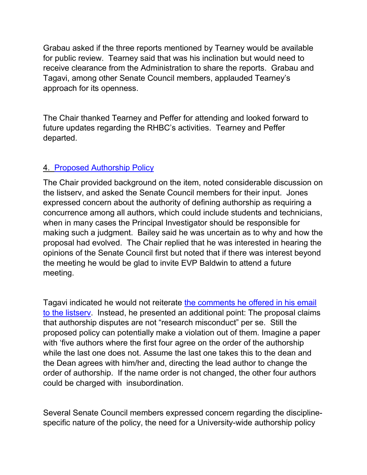Grabau asked if the three reports mentioned by Tearney would be available for public review. Tearney said that was his inclination but would need to receive clearance from the Administration to share the reports. Grabau and Tagavi, among other Senate Council members, applauded Tearney's approach for its openness.

The Chair thanked Tearney and Peffer for attending and looked forward to future updates regarding the RHBC's activities. Tearney and Peffer departed.

# 4. [Proposed Authorship Policy](http://www.uky.edu/USC/New/SCAgendas/20041122/Authorship%20Policy2.doc)

The Chair provided background on the item, noted considerable discussion on the listserv, and asked the Senate Council members for their input. Jones expressed concern about the authority of defining authorship as requiring a concurrence among all authors, which could include students and technicians, when in many cases the Principal Investigator should be responsible for making such a judgment. Bailey said he was uncertain as to why and how the proposal had evolved. The Chair replied that he was interested in hearing the opinions of the Senate Council first but noted that if there was interest beyond the meeting he would be glad to invite EVP Baldwin to attend a future meeting.

Tagavi indicated he would not reiterate [the comments he offered in his email](http://www.uky.edu/USC/New/SCAgendas/20041122/Kaveh%27s%20Comments%20on%20Authorship%20Policy.doc)  [to the listserv.](http://www.uky.edu/USC/New/SCAgendas/20041122/Kaveh%27s%20Comments%20on%20Authorship%20Policy.doc) Instead, he presented an additional point: The proposal claims that authorship disputes are not "research misconduct" per se. Still the proposed policy can potentially make a violation out of them. Imagine a paper with 'five authors where the first four agree on the order of the authorship while the last one does not. Assume the last one takes this to the dean and the Dean agrees with him/her and, directing the lead author to change the order of authorship. If the name order is not changed, the other four authors could be charged with insubordination.

Several Senate Council members expressed concern regarding the disciplinespecific nature of the policy, the need for a University-wide authorship policy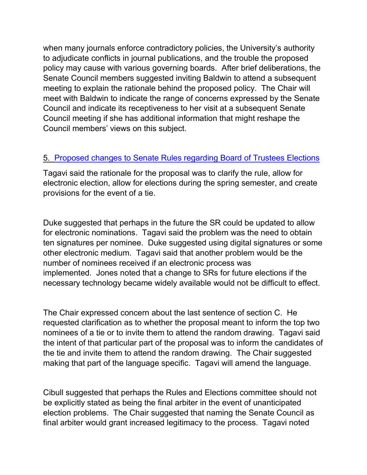when many journals enforce contradictory policies, the University's authority to adjudicate conflicts in journal publications, and the trouble the proposed policy may cause with various governing boards. After brief deliberations, the Senate Council members suggested inviting Baldwin to attend a subsequent meeting to explain the rationale behind the proposed policy. The Chair will meet with Baldwin to indicate the range of concerns expressed by the Senate Council and indicate its receptiveness to her visit at a subsequent Senate Council meeting if she has additional information that might reshape the Council members' views on this subject.

#### 5. [Proposed changes to Senate Rules regarding Board of Trustees Elections](http://www.uky.edu/USC/New/SCAgendas/20041122/RC-027%20--%20v3-boardelections.doc)

Tagavi said the rationale for the proposal was to clarify the rule, allow for electronic election, allow for elections during the spring semester, and create provisions for the event of a tie.

Duke suggested that perhaps in the future the SR could be updated to allow for electronic nominations. Tagavi said the problem was the need to obtain ten signatures per nominee. Duke suggested using digital signatures or some other electronic medium. Tagavi said that another problem would be the number of nominees received if an electronic process was implemented. Jones noted that a change to SRs for future elections if the necessary technology became widely available would not be difficult to effect.

The Chair expressed concern about the last sentence of section C. He requested clarification as to whether the proposal meant to inform the top two nominees of a tie or to invite them to attend the random drawing. Tagavi said the intent of that particular part of the proposal was to inform the candidates of the tie and invite them to attend the random drawing. The Chair suggested making that part of the language specific. Tagavi will amend the language.

Cibull suggested that perhaps the Rules and Elections committee should not be explicitly stated as being the final arbiter in the event of unanticipated election problems. The Chair suggested that naming the Senate Council as final arbiter would grant increased legitimacy to the process. Tagavi noted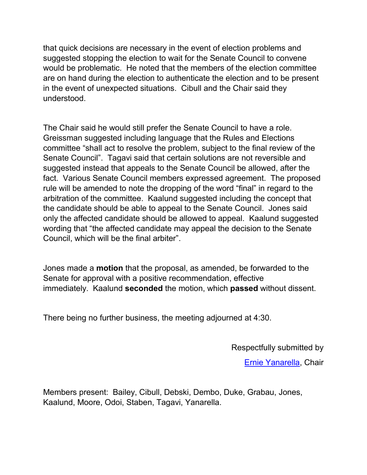that quick decisions are necessary in the event of election problems and suggested stopping the election to wait for the Senate Council to convene would be problematic. He noted that the members of the election committee are on hand during the election to authenticate the election and to be present in the event of unexpected situations. Cibull and the Chair said they understood.

The Chair said he would still prefer the Senate Council to have a role. Greissman suggested including language that the Rules and Elections committee "shall act to resolve the problem, subject to the final review of the Senate Council". Tagavi said that certain solutions are not reversible and suggested instead that appeals to the Senate Council be allowed, after the fact. Various Senate Council members expressed agreement. The proposed rule will be amended to note the dropping of the word "final" in regard to the arbitration of the committee. Kaalund suggested including the concept that the candidate should be able to appeal to the Senate Council. Jones said only the affected candidate should be allowed to appeal. Kaalund suggested wording that "the affected candidate may appeal the decision to the Senate Council, which will be the final arbiter".

Jones made a **motion** that the proposal, as amended, be forwarded to the Senate for approval with a positive recommendation, effective immediately. Kaalund **seconded** the motion, which **passed** without dissent.

There being no further business, the meeting adjourned at 4:30.

Respectfully submitted by

[Ernie Yanarella,](mailto:ejyana@email.uky.edu) Chair

Members present: Bailey, Cibull, Debski, Dembo, Duke, Grabau, Jones, Kaalund, Moore, Odoi, Staben, Tagavi, Yanarella.